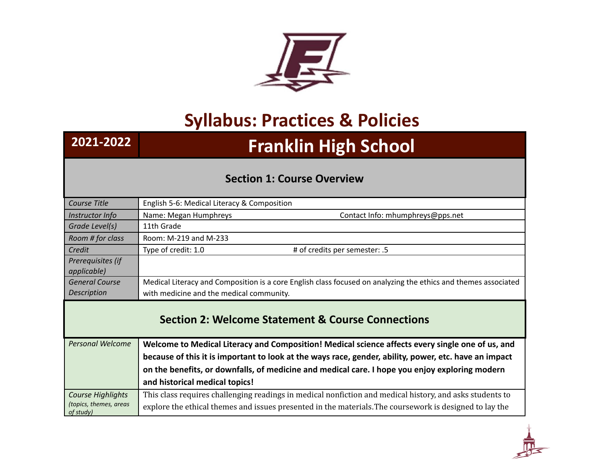

## **Syllabus: Practices & Policies**

## **2021-2022 Franklin High School**

## **Section 1: Course Overview**

| Course Title                                                 | English 5-6: Medical Literacy & Composition                                                                    |
|--------------------------------------------------------------|----------------------------------------------------------------------------------------------------------------|
| Instructor Info                                              | Contact Info: mhumphreys@pps.net<br>Name: Megan Humphreys                                                      |
| Grade Level(s)                                               | 11th Grade                                                                                                     |
| Room # for class                                             | Room: M-219 and M-233                                                                                          |
| Credit                                                       | Type of credit: 1.0<br># of credits per semester: .5                                                           |
| Prerequisites (if<br>applicable)                             |                                                                                                                |
| <b>General Course</b>                                        | Medical Literacy and Composition is a core English class focused on analyzing the ethics and themes associated |
| Description                                                  | with medicine and the medical community.                                                                       |
| <b>Section 2: Welcome Statement &amp; Course Connections</b> |                                                                                                                |
| <b>Personal Welcome</b>                                      | Welcome to Medical Literacy and Composition! Medical science affects every single one of us, and               |
|                                                              | because of this it is important to look at the ways race, gender, ability, power, etc. have an impact          |
|                                                              | on the benefits, or downfalls, of medicine and medical care. I hope you enjoy exploring modern                 |
|                                                              | and historical medical topics!                                                                                 |
| Course Highlights                                            | This class requires challenging readings in medical nonfiction and medical history, and asks students to       |
| (topics, themes, areas<br>of study)                          | explore the ethical themes and issues presented in the materials. The coursework is designed to lay the        |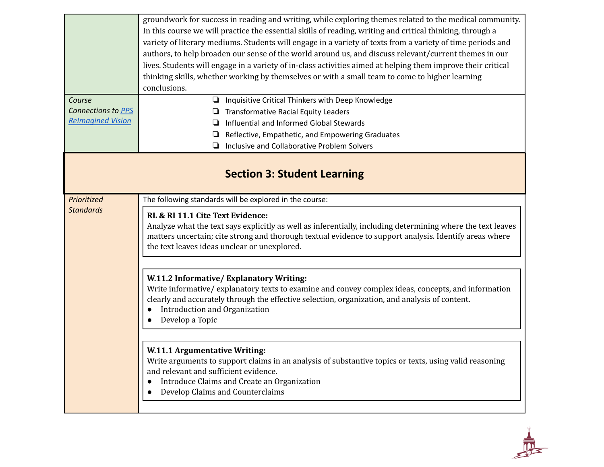|                                    | groundwork for success in reading and writing, while exploring themes related to the medical community.<br>In this course we will practice the essential skills of reading, writing and critical thinking, through a<br>variety of literary mediums. Students will engage in a variety of texts from a variety of time periods and<br>authors, to help broaden our sense of the world around us, and discuss relevant/current themes in our<br>lives. Students will engage in a variety of in-class activities aimed at helping them improve their critical<br>thinking skills, whether working by themselves or with a small team to come to higher learning<br>conclusions. |
|------------------------------------|-------------------------------------------------------------------------------------------------------------------------------------------------------------------------------------------------------------------------------------------------------------------------------------------------------------------------------------------------------------------------------------------------------------------------------------------------------------------------------------------------------------------------------------------------------------------------------------------------------------------------------------------------------------------------------|
| Course                             | Inquisitive Critical Thinkers with Deep Knowledge<br>❏                                                                                                                                                                                                                                                                                                                                                                                                                                                                                                                                                                                                                        |
| Connections to PPS                 | <b>Transformative Racial Equity Leaders</b>                                                                                                                                                                                                                                                                                                                                                                                                                                                                                                                                                                                                                                   |
| <b>Relmagined Vision</b>           | Influential and Informed Global Stewards                                                                                                                                                                                                                                                                                                                                                                                                                                                                                                                                                                                                                                      |
|                                    | Reflective, Empathetic, and Empowering Graduates<br>⊔                                                                                                                                                                                                                                                                                                                                                                                                                                                                                                                                                                                                                         |
|                                    | Inclusive and Collaborative Problem Solvers                                                                                                                                                                                                                                                                                                                                                                                                                                                                                                                                                                                                                                   |
| <b>Section 3: Student Learning</b> |                                                                                                                                                                                                                                                                                                                                                                                                                                                                                                                                                                                                                                                                               |
| Prioritized                        | The following standards will be explored in the course:                                                                                                                                                                                                                                                                                                                                                                                                                                                                                                                                                                                                                       |
| <b>Standards</b>                   | RL & RI 11.1 Cite Text Evidence:<br>Analyze what the text says explicitly as well as inferentially, including determining where the text leaves<br>matters uncertain; cite strong and thorough textual evidence to support analysis. Identify areas where<br>the text leaves ideas unclear or unexplored.                                                                                                                                                                                                                                                                                                                                                                     |
|                                    | W.11.2 Informative/Explanatory Writing:<br>Write informative/explanatory texts to examine and convey complex ideas, concepts, and information<br>clearly and accurately through the effective selection, organization, and analysis of content.<br>Introduction and Organization<br>Develop a Topic<br>W.11.1 Argumentative Writing:<br>Write arguments to support claims in an analysis of substantive topics or texts, using valid reasoning<br>and relevant and sufficient evidence.<br>Introduce Claims and Create an Organization<br>Develop Claims and Counterclaims                                                                                                    |

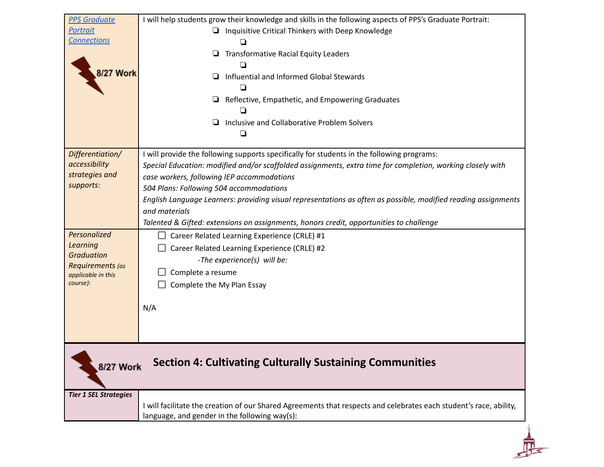| <b>PPS Graduate</b>                    | I will help students grow their knowledge and skills in the following aspects of PPS's Graduate Portrait:          |
|----------------------------------------|--------------------------------------------------------------------------------------------------------------------|
| <b>Portrait</b>                        | Inquisitive Critical Thinkers with Deep Knowledge                                                                  |
| <b>Connections</b>                     |                                                                                                                    |
|                                        | <b>Transformative Racial Equity Leaders</b>                                                                        |
|                                        |                                                                                                                    |
| <b>8/27 Work</b>                       | Influential and Informed Global Stewards                                                                           |
|                                        |                                                                                                                    |
|                                        | Reflective, Empathetic, and Empowering Graduates                                                                   |
|                                        |                                                                                                                    |
|                                        | Inclusive and Collaborative Problem Solvers                                                                        |
|                                        |                                                                                                                    |
|                                        |                                                                                                                    |
| Differentiation/                       | I will provide the following supports specifically for students in the following programs:                         |
| accessibility                          | Special Education: modified and/or scaffolded assignments, extra time for completion, working closely with         |
| strategies and                         | case workers, following IEP accommodations                                                                         |
| supports:                              | 504 Plans: Following 504 accommodations                                                                            |
|                                        | English Language Learners: providing visual representations as often as possible, modified reading assignments     |
|                                        | and materials                                                                                                      |
|                                        | Talented & Gifted: extensions on assignments, honors credit, opportunities to challenge                            |
| Personalized                           | Career Related Learning Experience (CRLE) #1                                                                       |
| <b>Learning</b>                        | Career Related Learning Experience (CRLE) #2                                                                       |
| <b>Graduation</b>                      | -The experience(s) will be:                                                                                        |
| Requirements (as<br>applicable in this | Complete a resume                                                                                                  |
| course):                               | Complete the My Plan Essay                                                                                         |
|                                        |                                                                                                                    |
|                                        | N/A                                                                                                                |
|                                        |                                                                                                                    |
|                                        |                                                                                                                    |
|                                        |                                                                                                                    |
|                                        |                                                                                                                    |
| <b>8/27 Work</b>                       | <b>Section 4: Cultivating Culturally Sustaining Communities</b>                                                    |
|                                        |                                                                                                                    |
|                                        |                                                                                                                    |
| <b>Tier 1 SEL Strategies</b>           | I will facilitate the creation of our Shared Agreements that respects and celebrates each student's race, ability, |
|                                        | language, and gender in the following way(s):                                                                      |
|                                        |                                                                                                                    |
|                                        |                                                                                                                    |
|                                        |                                                                                                                    |
|                                        |                                                                                                                    |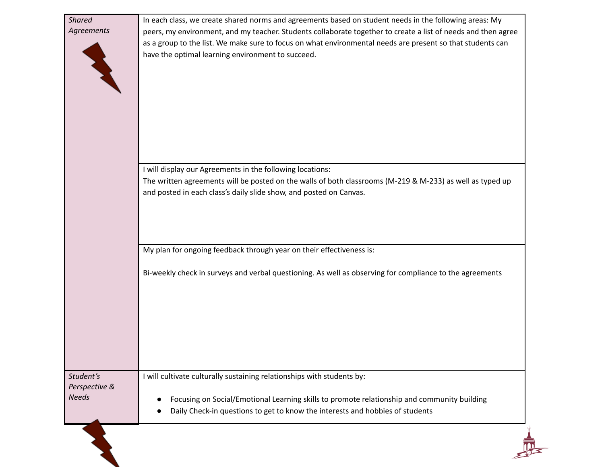| <b>Shared</b><br>Agreements                | In each class, we create shared norms and agreements based on student needs in the following areas: My<br>peers, my environment, and my teacher. Students collaborate together to create a list of needs and then agree<br>as a group to the list. We make sure to focus on what environmental needs are present so that students can<br>have the optimal learning environment to succeed. |
|--------------------------------------------|--------------------------------------------------------------------------------------------------------------------------------------------------------------------------------------------------------------------------------------------------------------------------------------------------------------------------------------------------------------------------------------------|
|                                            | I will display our Agreements in the following locations:<br>The written agreements will be posted on the walls of both classrooms (M-219 & M-233) as well as typed up<br>and posted in each class's daily slide show, and posted on Canvas.                                                                                                                                               |
|                                            | My plan for ongoing feedback through year on their effectiveness is:                                                                                                                                                                                                                                                                                                                       |
|                                            | Bi-weekly check in surveys and verbal questioning. As well as observing for compliance to the agreements                                                                                                                                                                                                                                                                                   |
| Student's<br>Perspective &<br><b>Needs</b> | I will cultivate culturally sustaining relationships with students by:<br>Focusing on Social/Emotional Learning skills to promote relationship and community building<br>Daily Check-in questions to get to know the interests and hobbies of students                                                                                                                                     |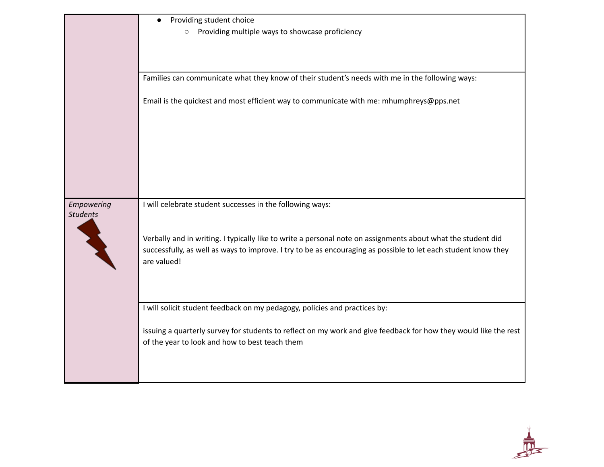|                 | Providing student choice<br>$\bullet$                                                                                         |
|-----------------|-------------------------------------------------------------------------------------------------------------------------------|
|                 | Providing multiple ways to showcase proficiency<br>$\circ$                                                                    |
|                 |                                                                                                                               |
|                 |                                                                                                                               |
|                 | Families can communicate what they know of their student's needs with me in the following ways:                               |
|                 |                                                                                                                               |
|                 | Email is the quickest and most efficient way to communicate with me: mhumphreys@pps.net                                       |
|                 |                                                                                                                               |
|                 |                                                                                                                               |
|                 |                                                                                                                               |
|                 |                                                                                                                               |
|                 |                                                                                                                               |
|                 |                                                                                                                               |
| Empowering      | I will celebrate student successes in the following ways:                                                                     |
| <b>Students</b> |                                                                                                                               |
|                 |                                                                                                                               |
|                 | Verbally and in writing. I typically like to write a personal note on assignments about what the student did                  |
|                 | successfully, as well as ways to improve. I try to be as encouraging as possible to let each student know they<br>are valued! |
|                 |                                                                                                                               |
|                 |                                                                                                                               |
|                 |                                                                                                                               |
|                 | I will solicit student feedback on my pedagogy, policies and practices by:                                                    |
|                 | issuing a quarterly survey for students to reflect on my work and give feedback for how they would like the rest              |
|                 | of the year to look and how to best teach them                                                                                |
|                 |                                                                                                                               |
|                 |                                                                                                                               |
|                 |                                                                                                                               |

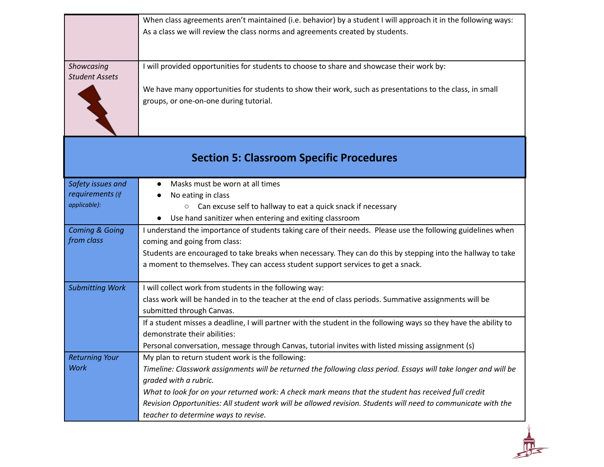|                                                       | When class agreements aren't maintained (i.e. behavior) by a student I will approach it in the following ways:<br>As a class we will review the class norms and agreements created by students.                                                                                                                                                                                                                                                                |
|-------------------------------------------------------|----------------------------------------------------------------------------------------------------------------------------------------------------------------------------------------------------------------------------------------------------------------------------------------------------------------------------------------------------------------------------------------------------------------------------------------------------------------|
| Showcasing<br><b>Student Assets</b>                   | I will provided opportunities for students to choose to share and showcase their work by:<br>We have many opportunities for students to show their work, such as presentations to the class, in small<br>groups, or one-on-one during tutorial.                                                                                                                                                                                                                |
|                                                       | <b>Section 5: Classroom Specific Procedures</b>                                                                                                                                                                                                                                                                                                                                                                                                                |
| Safety issues and<br>requirements (if<br>applicable): | Masks must be worn at all times<br>No eating in class<br>Can excuse self to hallway to eat a quick snack if necessary<br>$\circ$<br>• Use hand sanitizer when entering and exiting classroom                                                                                                                                                                                                                                                                   |
| <b>Coming &amp; Going</b><br>from class               | I understand the importance of students taking care of their needs. Please use the following guidelines when<br>coming and going from class:<br>Students are encouraged to take breaks when necessary. They can do this by stepping into the hallway to take<br>a moment to themselves. They can access student support services to get a snack.                                                                                                               |
| <b>Submitting Work</b>                                | I will collect work from students in the following way:<br>class work will be handed in to the teacher at the end of class periods. Summative assignments will be<br>submitted through Canvas.<br>If a student misses a deadline, I will partner with the student in the following ways so they have the ability to<br>demonstrate their abilities:<br>Personal conversation, message through Canvas, tutorial invites with listed missing assignment (s)      |
| <b>Returning Your</b><br><b>Work</b>                  | My plan to return student work is the following:<br>Timeline: Classwork assignments will be returned the following class period. Essays will take longer and will be<br>graded with a rubric.<br>What to look for on your returned work: A check mark means that the student has received full credit<br>Revision Opportunities: All student work will be allowed revision. Students will need to communicate with the<br>teacher to determine ways to revise. |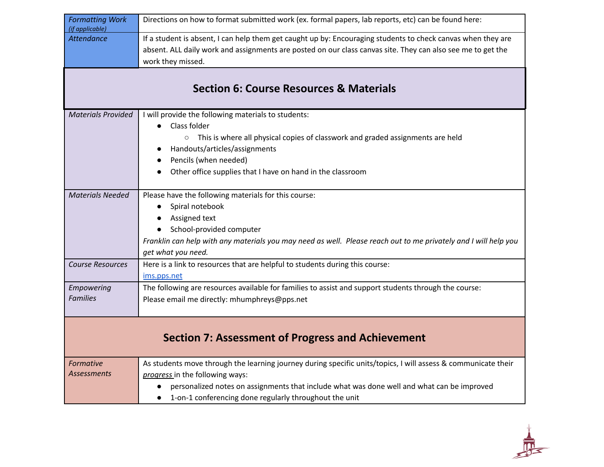| <b>Formatting Work</b><br>(if applicable)                | Directions on how to format submitted work (ex. formal papers, lab reports, etc) can be found here:                                                                                                                                              |
|----------------------------------------------------------|--------------------------------------------------------------------------------------------------------------------------------------------------------------------------------------------------------------------------------------------------|
| <b>Attendance</b>                                        | If a student is absent, I can help them get caught up by: Encouraging students to check canvas when they are<br>absent. ALL daily work and assignments are posted on our class canvas site. They can also see me to get the<br>work they missed. |
|                                                          |                                                                                                                                                                                                                                                  |
|                                                          | <b>Section 6: Course Resources &amp; Materials</b>                                                                                                                                                                                               |
| <b>Materials Provided</b>                                | I will provide the following materials to students:                                                                                                                                                                                              |
|                                                          | Class folder                                                                                                                                                                                                                                     |
|                                                          | This is where all physical copies of classwork and graded assignments are held<br>$\circ$                                                                                                                                                        |
|                                                          | Handouts/articles/assignments                                                                                                                                                                                                                    |
|                                                          | Pencils (when needed)                                                                                                                                                                                                                            |
|                                                          | Other office supplies that I have on hand in the classroom                                                                                                                                                                                       |
| <b>Materials Needed</b>                                  | Please have the following materials for this course:                                                                                                                                                                                             |
|                                                          | Spiral notebook<br>$\bullet$                                                                                                                                                                                                                     |
|                                                          | Assigned text                                                                                                                                                                                                                                    |
|                                                          | School-provided computer                                                                                                                                                                                                                         |
|                                                          | Franklin can help with any materials you may need as well. Please reach out to me privately and I will help you                                                                                                                                  |
|                                                          | get what you need.                                                                                                                                                                                                                               |
| <b>Course Resources</b>                                  | Here is a link to resources that are helpful to students during this course:                                                                                                                                                                     |
|                                                          | ims.pps.net                                                                                                                                                                                                                                      |
| Empowering                                               | The following are resources available for families to assist and support students through the course:                                                                                                                                            |
| <b>Families</b>                                          | Please email me directly: mhumphreys@pps.net                                                                                                                                                                                                     |
|                                                          |                                                                                                                                                                                                                                                  |
| <b>Section 7: Assessment of Progress and Achievement</b> |                                                                                                                                                                                                                                                  |
| Formative                                                | As students move through the learning journey during specific units/topics, I will assess & communicate their                                                                                                                                    |
| Assessments                                              | progress in the following ways:                                                                                                                                                                                                                  |
|                                                          | personalized notes on assignments that include what was done well and what can be improved                                                                                                                                                       |
|                                                          | 1-on-1 conferencing done regularly throughout the unit<br>$\bullet$                                                                                                                                                                              |

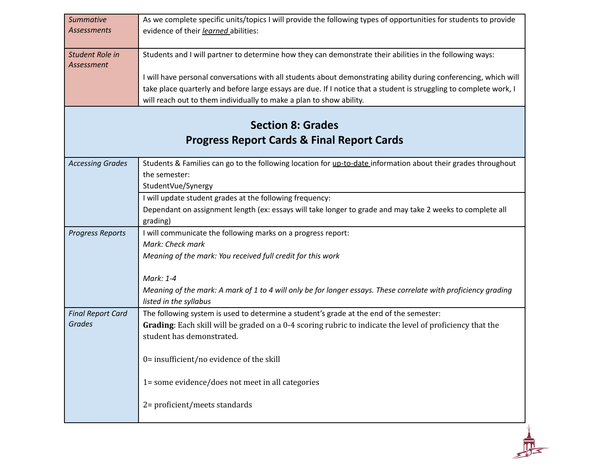| <b>Summative</b>         | As we complete specific units/topics I will provide the following types of opportunities for students to provide   |
|--------------------------|--------------------------------------------------------------------------------------------------------------------|
| <b>Assessments</b>       | evidence of their learned abilities:                                                                               |
|                          |                                                                                                                    |
| Student Role in          | Students and I will partner to determine how they can demonstrate their abilities in the following ways:           |
| Assessment               |                                                                                                                    |
|                          | I will have personal conversations with all students about demonstrating ability during conferencing, which will   |
|                          | take place quarterly and before large essays are due. If I notice that a student is struggling to complete work, I |
|                          | will reach out to them individually to make a plan to show ability.                                                |
|                          |                                                                                                                    |
|                          | <b>Section 8: Grades</b>                                                                                           |
|                          | <b>Progress Report Cards &amp; Final Report Cards</b>                                                              |
| <b>Accessing Grades</b>  | Students & Families can go to the following location for up-to-date information about their grades throughout      |
|                          | the semester:                                                                                                      |
|                          | StudentVue/Synergy                                                                                                 |
|                          | I will update student grades at the following frequency:                                                           |
|                          | Dependant on assignment length (ex: essays will take longer to grade and may take 2 weeks to complete all          |
|                          | grading)                                                                                                           |
| <b>Progress Reports</b>  | I will communicate the following marks on a progress report:                                                       |
|                          | Mark: Check mark                                                                                                   |
|                          | Meaning of the mark: You received full credit for this work                                                        |
|                          | Mark: 1-4                                                                                                          |
|                          | Meaning of the mark: A mark of 1 to 4 will only be for longer essays. These correlate with proficiency grading     |
|                          | listed in the syllabus                                                                                             |
| <b>Final Report Card</b> | The following system is used to determine a student's grade at the end of the semester:                            |
| <b>Grades</b>            | Grading: Each skill will be graded on a 0-4 scoring rubric to indicate the level of proficiency that the           |
|                          | student has demonstrated.                                                                                          |
|                          |                                                                                                                    |
|                          | 0= insufficient/no evidence of the skill                                                                           |
|                          |                                                                                                                    |
|                          | 1= some evidence/does not meet in all categories                                                                   |
|                          |                                                                                                                    |
|                          | 2= proficient/meets standards                                                                                      |
|                          |                                                                                                                    |
|                          |                                                                                                                    |
|                          |                                                                                                                    |
|                          |                                                                                                                    |